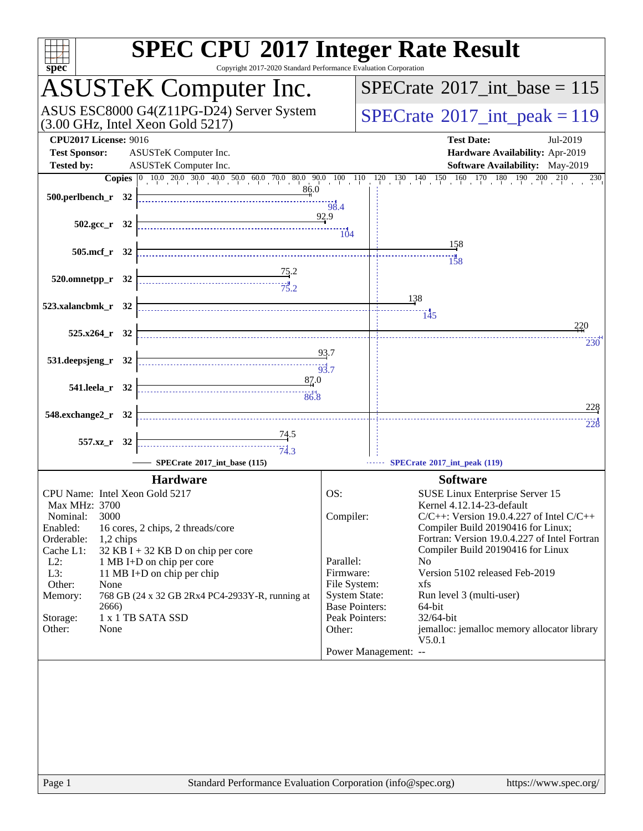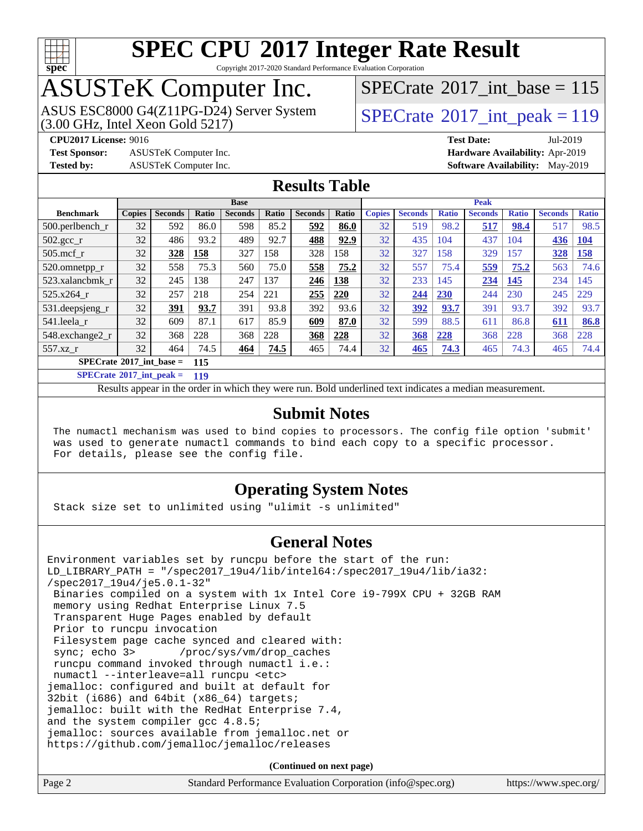

Copyright 2017-2020 Standard Performance Evaluation Corporation

# ASUSTeK Computer Inc.<br>ASUS ESC8000 G4(Z11PG-D24) Server System

 $(3.00 \text{ GHz}, \text{Intel Xeon}$  Gold  $5217)$ 

 $SPECTate@2017_int\_base = 115$ 

**[Test Sponsor:](http://www.spec.org/auto/cpu2017/Docs/result-fields.html#TestSponsor)** ASUSTeK Computer Inc. **[Hardware Availability:](http://www.spec.org/auto/cpu2017/Docs/result-fields.html#HardwareAvailability)** Apr-2019

 $SPECTate@2017_int_ppeak = 119$ 

**[CPU2017 License:](http://www.spec.org/auto/cpu2017/Docs/result-fields.html#CPU2017License)** 9016 **[Test Date:](http://www.spec.org/auto/cpu2017/Docs/result-fields.html#TestDate)** Jul-2019 **[Tested by:](http://www.spec.org/auto/cpu2017/Docs/result-fields.html#Testedby)** ASUSTeK Computer Inc. **[Software Availability:](http://www.spec.org/auto/cpu2017/Docs/result-fields.html#SoftwareAvailability)** May-2019

### **[Results Table](http://www.spec.org/auto/cpu2017/Docs/result-fields.html#ResultsTable)**

|                                          | <b>Base</b>   |                |              |                |              | <b>Peak</b>    |       |               |                |              |                |              |                |              |
|------------------------------------------|---------------|----------------|--------------|----------------|--------------|----------------|-------|---------------|----------------|--------------|----------------|--------------|----------------|--------------|
| <b>Benchmark</b>                         | <b>Copies</b> | <b>Seconds</b> | <b>Ratio</b> | <b>Seconds</b> | <b>Ratio</b> | <b>Seconds</b> | Ratio | <b>Copies</b> | <b>Seconds</b> | <b>Ratio</b> | <b>Seconds</b> | <b>Ratio</b> | <b>Seconds</b> | <b>Ratio</b> |
| $500.$ perlbench_r                       | 32            | 592            | 86.0         | 598            | 85.2         | 592            | 86.0  | 32            | 519            | 98.2         | 517            | 98.4         | 517            | 98.5         |
| $502.\text{sec}$                         | 32            | 486            | 93.2         | 489            | 92.7         | 488            | 92.9  | 32            | 435            | 104          | 437            | 104          | 436            | <b>104</b>   |
| $505$ .mcf r                             | 32            | 328            | 158          | 327            | 158          | 328            | 158   | 32            | 327            | 158          | 329            | 157          | 328            | 158          |
| 520.omnetpp_r                            | 32            | 558            | 75.3         | 560            | 75.0         | 558            | 75.2  | 32            | 557            | 75.4         | 559            | 75.2         | 563            | 74.6         |
| 523.xalancbmk r                          | 32            | 245            | 138          | 247            | 137          | 246            | 138   | 32            | 233            | 145          | 234            | 145          | 234            | 145          |
| 525.x264 r                               | 32            | 257            | 218          | 254            | 221          | 255            | 220   | 32            | 244            | <b>230</b>   | 244            | 230          | 245            | 229          |
| 531.deepsjeng_r                          | 32            | 391            | 93.7         | 391            | 93.8         | 392            | 93.6  | 32            | 392            | 93.7         | 391            | 93.7         | 392            | 93.7         |
| 541.leela r                              | 32            | 609            | 87.1         | 617            | 85.9         | 609            | 87.0  | 32            | 599            | 88.5         | 611            | 86.8         | 611            | 86.8         |
| 548.exchange2_r                          | 32            | 368            | 228          | 368            | 228          | 368            | 228   | 32            | 368            | 228          | 368            | 228          | 368            | 228          |
| $557.xz$ r                               | 32            | 464            | 74.5         | 464            | 74.5         | 465            | 74.4  | 32            | 465            | 74.3         | 465            | 74.3         | 465            | 74.4         |
| $SPECrate^{\circ}2017$ int base =<br>115 |               |                |              |                |              |                |       |               |                |              |                |              |                |              |

**[SPECrate](http://www.spec.org/auto/cpu2017/Docs/result-fields.html#SPECrate2017intpeak)[2017\\_int\\_peak =](http://www.spec.org/auto/cpu2017/Docs/result-fields.html#SPECrate2017intpeak) 119**

Results appear in the [order in which they were run.](http://www.spec.org/auto/cpu2017/Docs/result-fields.html#RunOrder) Bold underlined text [indicates a median measurement.](http://www.spec.org/auto/cpu2017/Docs/result-fields.html#Median)

#### **[Submit Notes](http://www.spec.org/auto/cpu2017/Docs/result-fields.html#SubmitNotes)**

 The numactl mechanism was used to bind copies to processors. The config file option 'submit' was used to generate numactl commands to bind each copy to a specific processor. For details, please see the config file.

#### **[Operating System Notes](http://www.spec.org/auto/cpu2017/Docs/result-fields.html#OperatingSystemNotes)**

Stack size set to unlimited using "ulimit -s unlimited"

#### **[General Notes](http://www.spec.org/auto/cpu2017/Docs/result-fields.html#GeneralNotes)**

Environment variables set by runcpu before the start of the run: LD\_LIBRARY\_PATH = "/spec2017\_19u4/lib/intel64:/spec2017\_19u4/lib/ia32: /spec2017\_19u4/je5.0.1-32" Binaries compiled on a system with 1x Intel Core i9-799X CPU + 32GB RAM memory using Redhat Enterprise Linux 7.5 Transparent Huge Pages enabled by default Prior to runcpu invocation Filesystem page cache synced and cleared with: sync; echo 3> /proc/sys/vm/drop\_caches runcpu command invoked through numactl i.e.: numactl --interleave=all runcpu <etc> jemalloc: configured and built at default for 32bit (i686) and 64bit (x86\_64) targets; jemalloc: built with the RedHat Enterprise 7.4, and the system compiler gcc 4.8.5; jemalloc: sources available from jemalloc.net or <https://github.com/jemalloc/jemalloc/releases>

**(Continued on next page)**

| Page 2 | Standard Performance Evaluation Corporation (info@spec.org) | https://www.spec.org/ |
|--------|-------------------------------------------------------------|-----------------------|
|        |                                                             |                       |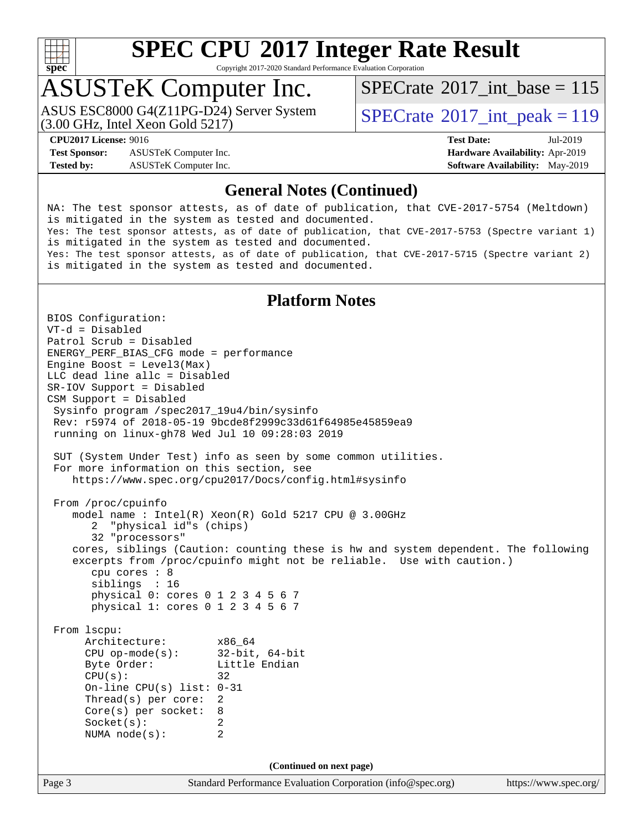

Copyright 2017-2020 Standard Performance Evaluation Corporation

## ASUSTeK Computer Inc.

(3.00 GHz, Intel Xeon Gold 5217) ASUS ESC8000 G4(Z11PG-D24) Server System  $SPECrate^{\circ}2017\_int\_peak = 119$  $SPECrate^{\circ}2017\_int\_peak = 119$ 

 $SPECTate$ <sup>®</sup>[2017\\_int\\_base =](http://www.spec.org/auto/cpu2017/Docs/result-fields.html#SPECrate2017intbase) 115

**[Test Sponsor:](http://www.spec.org/auto/cpu2017/Docs/result-fields.html#TestSponsor)** ASUSTeK Computer Inc. **[Hardware Availability:](http://www.spec.org/auto/cpu2017/Docs/result-fields.html#HardwareAvailability)** Apr-2019 **[Tested by:](http://www.spec.org/auto/cpu2017/Docs/result-fields.html#Testedby)** ASUSTeK Computer Inc. **[Software Availability:](http://www.spec.org/auto/cpu2017/Docs/result-fields.html#SoftwareAvailability)** May-2019

**[CPU2017 License:](http://www.spec.org/auto/cpu2017/Docs/result-fields.html#CPU2017License)** 9016 **[Test Date:](http://www.spec.org/auto/cpu2017/Docs/result-fields.html#TestDate)** Jul-2019

### **[General Notes \(Continued\)](http://www.spec.org/auto/cpu2017/Docs/result-fields.html#GeneralNotes)**

NA: The test sponsor attests, as of date of publication, that CVE-2017-5754 (Meltdown) is mitigated in the system as tested and documented. Yes: The test sponsor attests, as of date of publication, that CVE-2017-5753 (Spectre variant 1) is mitigated in the system as tested and documented. Yes: The test sponsor attests, as of date of publication, that CVE-2017-5715 (Spectre variant 2) is mitigated in the system as tested and documented.

### **[Platform Notes](http://www.spec.org/auto/cpu2017/Docs/result-fields.html#PlatformNotes)**

Page 3 Standard Performance Evaluation Corporation [\(info@spec.org\)](mailto:info@spec.org) <https://www.spec.org/> BIOS Configuration: VT-d = Disabled Patrol Scrub = Disabled ENERGY\_PERF\_BIAS\_CFG mode = performance Engine Boost = Level3(Max) LLC dead line allc = Disabled SR-IOV Support = Disabled CSM Support = Disabled Sysinfo program /spec2017\_19u4/bin/sysinfo Rev: r5974 of 2018-05-19 9bcde8f2999c33d61f64985e45859ea9 running on linux-gh78 Wed Jul 10 09:28:03 2019 SUT (System Under Test) info as seen by some common utilities. For more information on this section, see <https://www.spec.org/cpu2017/Docs/config.html#sysinfo> From /proc/cpuinfo model name : Intel(R) Xeon(R) Gold 5217 CPU @ 3.00GHz 2 "physical id"s (chips) 32 "processors" cores, siblings (Caution: counting these is hw and system dependent. The following excerpts from /proc/cpuinfo might not be reliable. Use with caution.) cpu cores : 8 siblings : 16 physical 0: cores 0 1 2 3 4 5 6 7 physical 1: cores 0 1 2 3 4 5 6 7 From lscpu: Architecture: x86\_64<br>
CPU op-mode(s): 32-bit, 64-bit CPU op-mode $(s)$ : Byte Order: Little Endian  $CPU(s):$  32 On-line CPU(s) list: 0-31 Thread(s) per core: 2 Core(s) per socket: 8 Socket(s): 2 NUMA node(s): 2 **(Continued on next page)**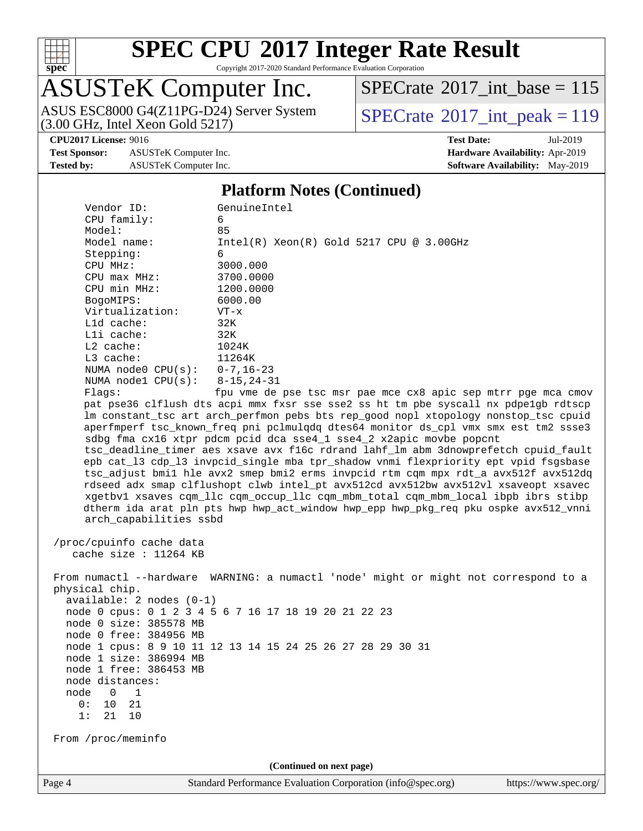

Copyright 2017-2020 Standard Performance Evaluation Corporation

# ASUSTeK Computer Inc.

 $SPECrate$ <sup>®</sup>[2017\\_int\\_base =](http://www.spec.org/auto/cpu2017/Docs/result-fields.html#SPECrate2017intbase) 115

ASUS ESC8000 G4(Z11PG-D24) Server System  $(3.00 \text{ GHz}, \text{ Intel Xeon Gold } 5217)$ 

**[Test Sponsor:](http://www.spec.org/auto/cpu2017/Docs/result-fields.html#TestSponsor)** ASUSTeK Computer Inc. **[Hardware Availability:](http://www.spec.org/auto/cpu2017/Docs/result-fields.html#HardwareAvailability)** Apr-2019 **[Tested by:](http://www.spec.org/auto/cpu2017/Docs/result-fields.html#Testedby)** ASUSTeK Computer Inc. **[Software Availability:](http://www.spec.org/auto/cpu2017/Docs/result-fields.html#SoftwareAvailability)** May-2019

**[CPU2017 License:](http://www.spec.org/auto/cpu2017/Docs/result-fields.html#CPU2017License)** 9016 **[Test Date:](http://www.spec.org/auto/cpu2017/Docs/result-fields.html#TestDate)** Jul-2019

#### **[Platform Notes \(Continued\)](http://www.spec.org/auto/cpu2017/Docs/result-fields.html#PlatformNotes)**

| Vendor ID:                                        | GenuineIntel                                                                                                                                                                                                                                                                                                                                                                                                                                                                                                                                                                                                                                                                                                                                                                                                                                                                  |
|---------------------------------------------------|-------------------------------------------------------------------------------------------------------------------------------------------------------------------------------------------------------------------------------------------------------------------------------------------------------------------------------------------------------------------------------------------------------------------------------------------------------------------------------------------------------------------------------------------------------------------------------------------------------------------------------------------------------------------------------------------------------------------------------------------------------------------------------------------------------------------------------------------------------------------------------|
| CPU family:                                       | 6                                                                                                                                                                                                                                                                                                                                                                                                                                                                                                                                                                                                                                                                                                                                                                                                                                                                             |
| Model:                                            | 85                                                                                                                                                                                                                                                                                                                                                                                                                                                                                                                                                                                                                                                                                                                                                                                                                                                                            |
| Model name:                                       | Intel(R) Xeon(R) Gold 5217 CPU @ 3.00GHz<br>6                                                                                                                                                                                                                                                                                                                                                                                                                                                                                                                                                                                                                                                                                                                                                                                                                                 |
| Stepping:<br>CPU MHz:                             | 3000.000                                                                                                                                                                                                                                                                                                                                                                                                                                                                                                                                                                                                                                                                                                                                                                                                                                                                      |
| $CPU$ max $MHz$ :                                 | 3700.0000                                                                                                                                                                                                                                                                                                                                                                                                                                                                                                                                                                                                                                                                                                                                                                                                                                                                     |
| CPU min MHz:                                      | 1200.0000                                                                                                                                                                                                                                                                                                                                                                                                                                                                                                                                                                                                                                                                                                                                                                                                                                                                     |
| BogoMIPS:                                         | 6000.00                                                                                                                                                                                                                                                                                                                                                                                                                                                                                                                                                                                                                                                                                                                                                                                                                                                                       |
| Virtualization:                                   | $VT - x$                                                                                                                                                                                                                                                                                                                                                                                                                                                                                                                                                                                                                                                                                                                                                                                                                                                                      |
| L1d cache:                                        | 32K                                                                                                                                                                                                                                                                                                                                                                                                                                                                                                                                                                                                                                                                                                                                                                                                                                                                           |
| Lli cache:                                        | 32K                                                                                                                                                                                                                                                                                                                                                                                                                                                                                                                                                                                                                                                                                                                                                                                                                                                                           |
| $L2$ cache:                                       | 1024K                                                                                                                                                                                                                                                                                                                                                                                                                                                                                                                                                                                                                                                                                                                                                                                                                                                                         |
| L3 cache:                                         | 11264K                                                                                                                                                                                                                                                                                                                                                                                                                                                                                                                                                                                                                                                                                                                                                                                                                                                                        |
| NUMA node0 $CPU(s): 0-7, 16-23$                   |                                                                                                                                                                                                                                                                                                                                                                                                                                                                                                                                                                                                                                                                                                                                                                                                                                                                               |
| NUMA $node1$ $CPU(s):$                            | 8-15,24-31                                                                                                                                                                                                                                                                                                                                                                                                                                                                                                                                                                                                                                                                                                                                                                                                                                                                    |
| Flags:                                            | fpu vme de pse tsc msr pae mce cx8 apic sep mtrr pge mca cmov                                                                                                                                                                                                                                                                                                                                                                                                                                                                                                                                                                                                                                                                                                                                                                                                                 |
| arch_capabilities ssbd                            | pat pse36 clflush dts acpi mmx fxsr sse sse2 ss ht tm pbe syscall nx pdpe1gb rdtscp<br>lm constant_tsc art arch_perfmon pebs bts rep_good nopl xtopology nonstop_tsc cpuid<br>aperfmperf tsc_known_freq pni pclmulqdq dtes64 monitor ds_cpl vmx smx est tm2 ssse3<br>sdbg fma cx16 xtpr pdcm pcid dca sse4_1 sse4_2 x2apic movbe popcnt<br>tsc_deadline_timer aes xsave avx f16c rdrand lahf_lm abm 3dnowprefetch cpuid_fault<br>epb cat_13 cdp_13 invpcid_single mba tpr_shadow vnmi flexpriority ept vpid fsgsbase<br>tsc_adjust bmil hle avx2 smep bmi2 erms invpcid rtm cqm mpx rdt_a avx512f avx512dq<br>rdseed adx smap clflushopt clwb intel_pt avx512cd avx512bw avx512vl xsaveopt xsavec<br>xgetbvl xsaves cqm_llc cqm_occup_llc cqm_mbm_total cqm_mbm_local ibpb ibrs stibp<br>dtherm ida arat pln pts hwp hwp_act_window hwp_epp hwp_pkg_req pku ospke avx512_vnni |
| /proc/cpuinfo cache data<br>cache size : 11264 KB |                                                                                                                                                                                                                                                                                                                                                                                                                                                                                                                                                                                                                                                                                                                                                                                                                                                                               |
| physical chip.<br>$available: 2 nodes (0-1)$      | From numactl --hardware WARNING: a numactl 'node' might or might not correspond to a                                                                                                                                                                                                                                                                                                                                                                                                                                                                                                                                                                                                                                                                                                                                                                                          |
|                                                   | node 0 cpus: 0 1 2 3 4 5 6 7 16 17 18 19 20 21 22 23                                                                                                                                                                                                                                                                                                                                                                                                                                                                                                                                                                                                                                                                                                                                                                                                                          |
| node 0 size: 385578 MB                            |                                                                                                                                                                                                                                                                                                                                                                                                                                                                                                                                                                                                                                                                                                                                                                                                                                                                               |
| node 0 free: 384956 MB                            |                                                                                                                                                                                                                                                                                                                                                                                                                                                                                                                                                                                                                                                                                                                                                                                                                                                                               |
|                                                   | node 1 cpus: 8 9 10 11 12 13 14 15 24 25 26 27 28 29 30 31                                                                                                                                                                                                                                                                                                                                                                                                                                                                                                                                                                                                                                                                                                                                                                                                                    |
| node 1 size: 386994 MB                            |                                                                                                                                                                                                                                                                                                                                                                                                                                                                                                                                                                                                                                                                                                                                                                                                                                                                               |
| node 1 free: 386453 MB                            |                                                                                                                                                                                                                                                                                                                                                                                                                                                                                                                                                                                                                                                                                                                                                                                                                                                                               |
| node distances:                                   |                                                                                                                                                                                                                                                                                                                                                                                                                                                                                                                                                                                                                                                                                                                                                                                                                                                                               |
| node<br>1<br>0                                    |                                                                                                                                                                                                                                                                                                                                                                                                                                                                                                                                                                                                                                                                                                                                                                                                                                                                               |
| 0:<br>10<br>21                                    |                                                                                                                                                                                                                                                                                                                                                                                                                                                                                                                                                                                                                                                                                                                                                                                                                                                                               |
| 1:<br>21<br>10                                    |                                                                                                                                                                                                                                                                                                                                                                                                                                                                                                                                                                                                                                                                                                                                                                                                                                                                               |
| From /proc/meminfo                                |                                                                                                                                                                                                                                                                                                                                                                                                                                                                                                                                                                                                                                                                                                                                                                                                                                                                               |
|                                                   | (Continued on next page)                                                                                                                                                                                                                                                                                                                                                                                                                                                                                                                                                                                                                                                                                                                                                                                                                                                      |
| Page 4                                            | Standard Performance Evaluation Corporation (info@spec.org)<br>https://www.spec.org/                                                                                                                                                                                                                                                                                                                                                                                                                                                                                                                                                                                                                                                                                                                                                                                          |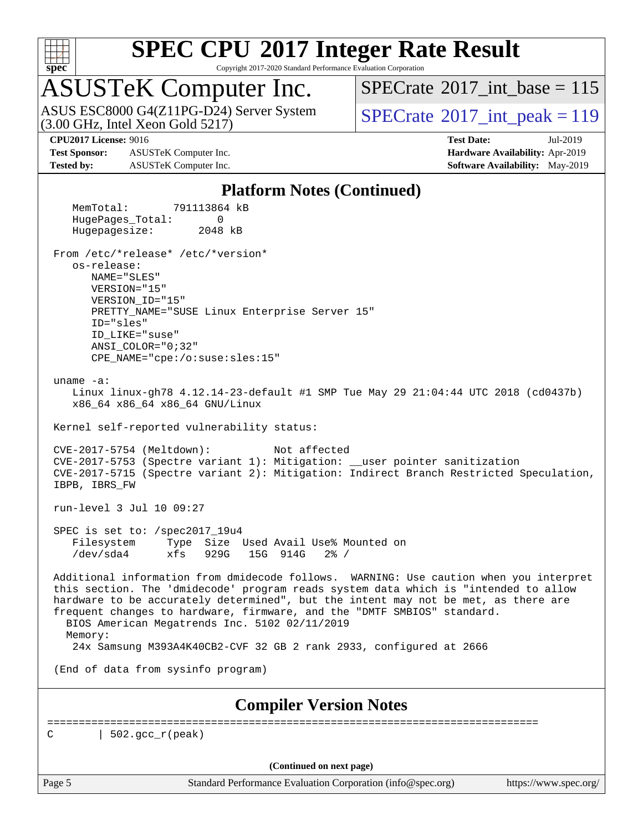

Copyright 2017-2020 Standard Performance Evaluation Corporation

# ASUSTeK Computer Inc.<br>ASUS ESC8000 G4(Z11PG-D24) Server System

(3.00 GHz, Intel Xeon Gold 5217)

 $SPECTate$ <sup>®</sup>[2017\\_int\\_base =](http://www.spec.org/auto/cpu2017/Docs/result-fields.html#SPECrate2017intbase) 115

 $SPECTate@2017_int_ppeak = 119$ 

**[Test Sponsor:](http://www.spec.org/auto/cpu2017/Docs/result-fields.html#TestSponsor)** ASUSTeK Computer Inc. **[Hardware Availability:](http://www.spec.org/auto/cpu2017/Docs/result-fields.html#HardwareAvailability)** Apr-2019 **[Tested by:](http://www.spec.org/auto/cpu2017/Docs/result-fields.html#Testedby)** ASUSTeK Computer Inc. **[Software Availability:](http://www.spec.org/auto/cpu2017/Docs/result-fields.html#SoftwareAvailability)** May-2019

**[CPU2017 License:](http://www.spec.org/auto/cpu2017/Docs/result-fields.html#CPU2017License)** 9016 **[Test Date:](http://www.spec.org/auto/cpu2017/Docs/result-fields.html#TestDate)** Jul-2019

#### **[Platform Notes \(Continued\)](http://www.spec.org/auto/cpu2017/Docs/result-fields.html#PlatformNotes)**

Page 5 Standard Performance Evaluation Corporation [\(info@spec.org\)](mailto:info@spec.org) <https://www.spec.org/> MemTotal: 791113864 kB HugePages\_Total: 0 Hugepagesize: 2048 kB From /etc/\*release\* /etc/\*version\* os-release: NAME="SLES" VERSION="15" VERSION\_ID="15" PRETTY\_NAME="SUSE Linux Enterprise Server 15" ID="sles" ID\_LIKE="suse" ANSI\_COLOR="0;32" CPE\_NAME="cpe:/o:suse:sles:15" uname -a: Linux linux-gh78 4.12.14-23-default #1 SMP Tue May 29 21:04:44 UTC 2018 (cd0437b) x86\_64 x86\_64 x86\_64 GNU/Linux Kernel self-reported vulnerability status: CVE-2017-5754 (Meltdown): Not affected CVE-2017-5753 (Spectre variant 1): Mitigation: \_\_user pointer sanitization CVE-2017-5715 (Spectre variant 2): Mitigation: Indirect Branch Restricted Speculation, IBPB, IBRS\_FW run-level 3 Jul 10 09:27 SPEC is set to: /spec2017\_19u4 Filesystem Type Size Used Avail Use% Mounted on /dev/sda4 xfs 929G 15G 914G 2% / Additional information from dmidecode follows. WARNING: Use caution when you interpret this section. The 'dmidecode' program reads system data which is "intended to allow hardware to be accurately determined", but the intent may not be met, as there are frequent changes to hardware, firmware, and the "DMTF SMBIOS" standard. BIOS American Megatrends Inc. 5102 02/11/2019 Memory: 24x Samsung M393A4K40CB2-CVF 32 GB 2 rank 2933, configured at 2666 (End of data from sysinfo program) **[Compiler Version Notes](http://www.spec.org/auto/cpu2017/Docs/result-fields.html#CompilerVersionNotes)** ============================================================================== C  $| 502 \text{ qcc r}$  (peak) **(Continued on next page)**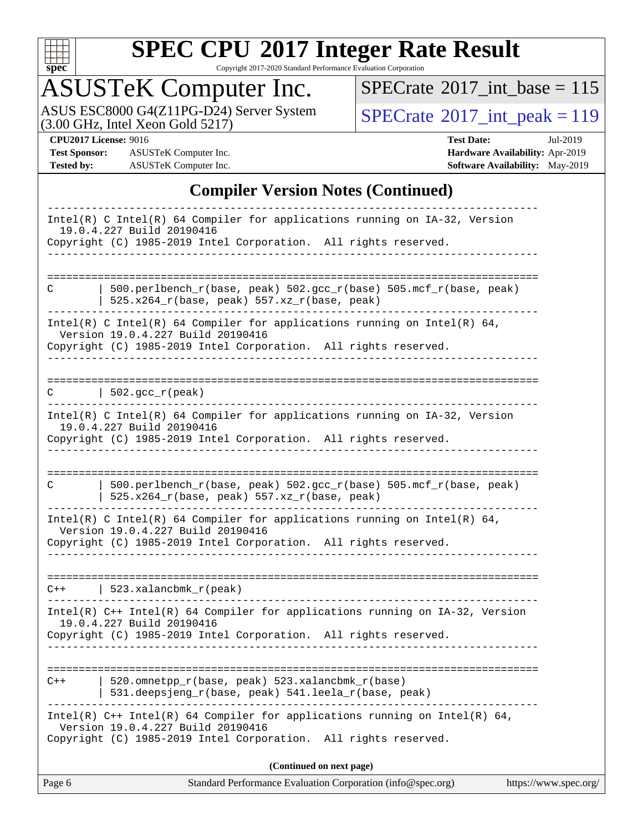

Copyright 2017-2020 Standard Performance Evaluation Corporation

# ASUSTeK Computer Inc.

 $SPECrate$ <sup>®</sup>[2017\\_int\\_base =](http://www.spec.org/auto/cpu2017/Docs/result-fields.html#SPECrate2017intbase) 115

ASUS ESC8000 G4(Z11PG-D24) Server System  $(3.00 \text{ GHz}, \text{ Intel Xeon Gold } 5217)$ 

**[Test Sponsor:](http://www.spec.org/auto/cpu2017/Docs/result-fields.html#TestSponsor)** ASUSTeK Computer Inc. **[Hardware Availability:](http://www.spec.org/auto/cpu2017/Docs/result-fields.html#HardwareAvailability)** Apr-2019 **[Tested by:](http://www.spec.org/auto/cpu2017/Docs/result-fields.html#Testedby)** ASUSTeK Computer Inc. **[Software Availability:](http://www.spec.org/auto/cpu2017/Docs/result-fields.html#SoftwareAvailability)** May-2019

**[CPU2017 License:](http://www.spec.org/auto/cpu2017/Docs/result-fields.html#CPU2017License)** 9016 **[Test Date:](http://www.spec.org/auto/cpu2017/Docs/result-fields.html#TestDate)** Jul-2019

### **[Compiler Version Notes \(Continued\)](http://www.spec.org/auto/cpu2017/Docs/result-fields.html#CompilerVersionNotes)**

| Page 6 | Standard Performance Evaluation Corporation (info@spec.org)<br>https://www.spec.org/                                                                                                 |
|--------|--------------------------------------------------------------------------------------------------------------------------------------------------------------------------------------|
|        | (Continued on next page)                                                                                                                                                             |
|        | Intel(R) $C++$ Intel(R) 64 Compiler for applications running on Intel(R) 64,<br>Version 19.0.4.227 Build 20190416<br>Copyright (C) 1985-2019 Intel Corporation. All rights reserved. |
| C++    | 520.omnetpp_r(base, peak) 523.xalancbmk_r(base)<br>531.deepsjeng_r(base, peak) 541.leela_r(base, peak)                                                                               |
|        | 19.0.4.227 Build 20190416<br>Copyright (C) 1985-2019 Intel Corporation. All rights reserved.                                                                                         |
|        | Intel(R) C++ Intel(R) 64 Compiler for applications running on IA-32, Version                                                                                                         |
| $C++$  | $523.xalanchm k_r (peak)$                                                                                                                                                            |
|        | Intel(R) C Intel(R) 64 Compiler for applications running on Intel(R) 64,<br>Version 19.0.4.227 Build 20190416<br>Copyright (C) 1985-2019 Intel Corporation. All rights reserved.     |
| C      | 500.perlbench_r(base, peak) 502.gcc_r(base) 505.mcf_r(base, peak)<br>525.x264_r(base, peak) 557.xz_r(base, peak)                                                                     |
|        | Copyright (C) 1985-2019 Intel Corporation. All rights reserved.                                                                                                                      |
|        | $Intel(R)$ C Intel(R) 64 Compiler for applications running on $IA-32$ , Version<br>19.0.4.227 Build 20190416                                                                         |
| C      | $\vert$ 502.gcc_r(peak)                                                                                                                                                              |
|        | Intel(R) C Intel(R) 64 Compiler for applications running on Intel(R) 64,<br>Version 19.0.4.227 Build 20190416<br>Copyright (C) 1985-2019 Intel Corporation. All rights reserved.     |
| C      | 500.perlbench_r(base, peak) 502.gcc_r(base) 505.mcf_r(base, peak)<br>$525.x264_r(base, peak) 557.xz_r(base, peak)$                                                                   |
|        | 19.0.4.227 Build 20190416<br>Copyright (C) 1985-2019 Intel Corporation. All rights reserved.                                                                                         |
|        | Intel(R) C Intel(R) 64 Compiler for applications running on IA-32, Version                                                                                                           |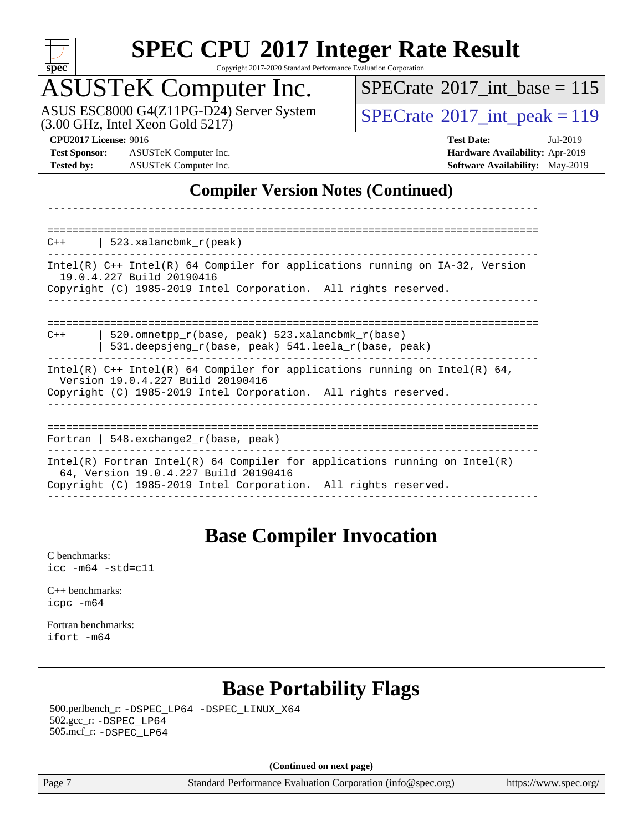

Copyright 2017-2020 Standard Performance Evaluation Corporation

## ASUSTeK Computer Inc.

 $(3.00 \text{ GHz}, \text{Intel Xeon}$  Gold  $5217)$ ASUS ESC8000 G4(Z11PG-D24) Server System  $SPECrate^{\circ}2017\_int\_peak = 119$  $SPECrate^{\circ}2017\_int\_peak = 119$ 

 $SPECTate@2017_int\_base = 115$ 

**[Test Sponsor:](http://www.spec.org/auto/cpu2017/Docs/result-fields.html#TestSponsor)** ASUSTeK Computer Inc. **[Hardware Availability:](http://www.spec.org/auto/cpu2017/Docs/result-fields.html#HardwareAvailability)** Apr-2019 **[Tested by:](http://www.spec.org/auto/cpu2017/Docs/result-fields.html#Testedby)** ASUSTeK Computer Inc. **[Software Availability:](http://www.spec.org/auto/cpu2017/Docs/result-fields.html#SoftwareAvailability)** May-2019

**[CPU2017 License:](http://www.spec.org/auto/cpu2017/Docs/result-fields.html#CPU2017License)** 9016 **[Test Date:](http://www.spec.org/auto/cpu2017/Docs/result-fields.html#TestDate)** Jul-2019

### **[Compiler Version Notes \(Continued\)](http://www.spec.org/auto/cpu2017/Docs/result-fields.html#CompilerVersionNotes)**

------------------------------------------------------------------------------ ============================================================================== C++ | 523.xalancbmk\_r(peak) ------------------------------------------------------------------------------ Intel(R) C++ Intel(R) 64 Compiler for applications running on IA-32, Version 19.0.4.227 Build 20190416 Copyright (C) 1985-2019 Intel Corporation. All rights reserved. ------------------------------------------------------------------------------ ============================================================================== C++ | 520.omnetpp\_r(base, peak) 523.xalancbmk\_r(base) | 531.deepsjeng\_r(base, peak) 541.leela\_r(base, peak) ------------------------------------------------------------------------------ Intel(R)  $C++$  Intel(R) 64 Compiler for applications running on Intel(R) 64, Version 19.0.4.227 Build 20190416 Copyright (C) 1985-2019 Intel Corporation. All rights reserved. ------------------------------------------------------------------------------ ============================================================================== Fortran | 548.exchange2\_r(base, peak) ------------------------------------------------------------------------------ Intel(R) Fortran Intel(R) 64 Compiler for applications running on Intel(R) 64, Version 19.0.4.227 Build 20190416 Copyright (C) 1985-2019 Intel Corporation. All rights reserved. ------------------------------------------------------------------------------

### **[Base Compiler Invocation](http://www.spec.org/auto/cpu2017/Docs/result-fields.html#BaseCompilerInvocation)**

[C benchmarks](http://www.spec.org/auto/cpu2017/Docs/result-fields.html#Cbenchmarks):  $\text{icc}$  -m64 -std=c11

[C++ benchmarks:](http://www.spec.org/auto/cpu2017/Docs/result-fields.html#CXXbenchmarks) [icpc -m64](http://www.spec.org/cpu2017/results/res2019q3/cpu2017-20190722-16296.flags.html#user_CXXbase_intel_icpc_64bit_4ecb2543ae3f1412ef961e0650ca070fec7b7afdcd6ed48761b84423119d1bf6bdf5cad15b44d48e7256388bc77273b966e5eb805aefd121eb22e9299b2ec9d9)

[Fortran benchmarks](http://www.spec.org/auto/cpu2017/Docs/result-fields.html#Fortranbenchmarks): [ifort -m64](http://www.spec.org/cpu2017/results/res2019q3/cpu2017-20190722-16296.flags.html#user_FCbase_intel_ifort_64bit_24f2bb282fbaeffd6157abe4f878425411749daecae9a33200eee2bee2fe76f3b89351d69a8130dd5949958ce389cf37ff59a95e7a40d588e8d3a57e0c3fd751)

### **[Base Portability Flags](http://www.spec.org/auto/cpu2017/Docs/result-fields.html#BasePortabilityFlags)**

 500.perlbench\_r: [-DSPEC\\_LP64](http://www.spec.org/cpu2017/results/res2019q3/cpu2017-20190722-16296.flags.html#b500.perlbench_r_basePORTABILITY_DSPEC_LP64) [-DSPEC\\_LINUX\\_X64](http://www.spec.org/cpu2017/results/res2019q3/cpu2017-20190722-16296.flags.html#b500.perlbench_r_baseCPORTABILITY_DSPEC_LINUX_X64) 502.gcc\_r: [-DSPEC\\_LP64](http://www.spec.org/cpu2017/results/res2019q3/cpu2017-20190722-16296.flags.html#suite_basePORTABILITY502_gcc_r_DSPEC_LP64) 505.mcf\_r: [-DSPEC\\_LP64](http://www.spec.org/cpu2017/results/res2019q3/cpu2017-20190722-16296.flags.html#suite_basePORTABILITY505_mcf_r_DSPEC_LP64)

**(Continued on next page)**

Page 7 Standard Performance Evaluation Corporation [\(info@spec.org\)](mailto:info@spec.org) <https://www.spec.org/>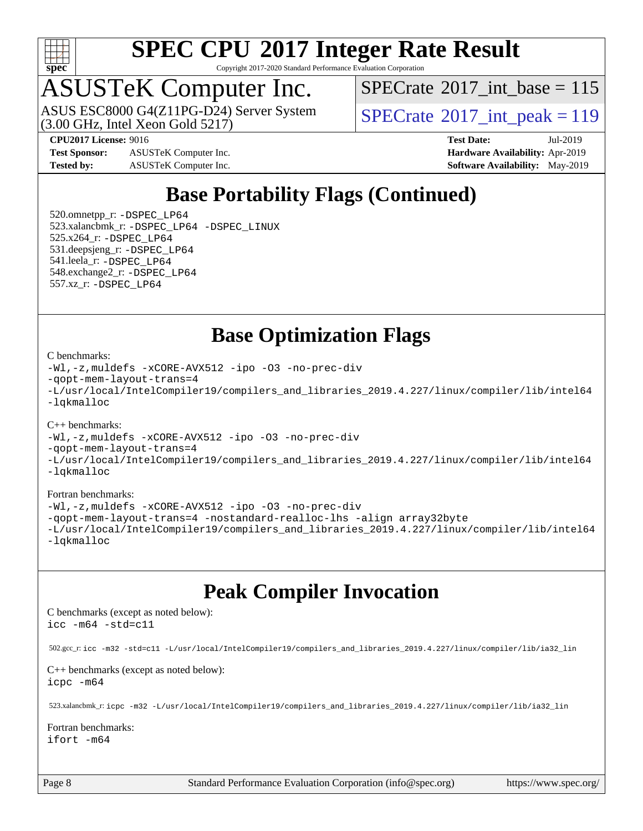

Copyright 2017-2020 Standard Performance Evaluation Corporation

## ASUSTeK Computer Inc.

ASUS ESC8000 G4(Z11PG-D24) Server System<br>(3.00 GHz, Intel Xeon Gold 5217)

 $SPECTate$ <sup>®</sup>[2017\\_int\\_base =](http://www.spec.org/auto/cpu2017/Docs/result-fields.html#SPECrate2017intbase) 115

 $SPECrate<sup>®</sup>2017_int_ppeak = 119$  $SPECrate<sup>®</sup>2017_int_ppeak = 119$ 

**[Test Sponsor:](http://www.spec.org/auto/cpu2017/Docs/result-fields.html#TestSponsor)** ASUSTeK Computer Inc. **[Hardware Availability:](http://www.spec.org/auto/cpu2017/Docs/result-fields.html#HardwareAvailability)** Apr-2019 **[Tested by:](http://www.spec.org/auto/cpu2017/Docs/result-fields.html#Testedby)** ASUSTeK Computer Inc. **[Software Availability:](http://www.spec.org/auto/cpu2017/Docs/result-fields.html#SoftwareAvailability)** May-2019

**[CPU2017 License:](http://www.spec.org/auto/cpu2017/Docs/result-fields.html#CPU2017License)** 9016 **[Test Date:](http://www.spec.org/auto/cpu2017/Docs/result-fields.html#TestDate)** Jul-2019

### **[Base Portability Flags \(Continued\)](http://www.spec.org/auto/cpu2017/Docs/result-fields.html#BasePortabilityFlags)**

 520.omnetpp\_r: [-DSPEC\\_LP64](http://www.spec.org/cpu2017/results/res2019q3/cpu2017-20190722-16296.flags.html#suite_basePORTABILITY520_omnetpp_r_DSPEC_LP64) 523.xalancbmk\_r: [-DSPEC\\_LP64](http://www.spec.org/cpu2017/results/res2019q3/cpu2017-20190722-16296.flags.html#suite_basePORTABILITY523_xalancbmk_r_DSPEC_LP64) [-DSPEC\\_LINUX](http://www.spec.org/cpu2017/results/res2019q3/cpu2017-20190722-16296.flags.html#b523.xalancbmk_r_baseCXXPORTABILITY_DSPEC_LINUX) 525.x264\_r: [-DSPEC\\_LP64](http://www.spec.org/cpu2017/results/res2019q3/cpu2017-20190722-16296.flags.html#suite_basePORTABILITY525_x264_r_DSPEC_LP64) 531.deepsjeng\_r: [-DSPEC\\_LP64](http://www.spec.org/cpu2017/results/res2019q3/cpu2017-20190722-16296.flags.html#suite_basePORTABILITY531_deepsjeng_r_DSPEC_LP64) 541.leela\_r: [-DSPEC\\_LP64](http://www.spec.org/cpu2017/results/res2019q3/cpu2017-20190722-16296.flags.html#suite_basePORTABILITY541_leela_r_DSPEC_LP64) 548.exchange2\_r: [-DSPEC\\_LP64](http://www.spec.org/cpu2017/results/res2019q3/cpu2017-20190722-16296.flags.html#suite_basePORTABILITY548_exchange2_r_DSPEC_LP64) 557.xz\_r: [-DSPEC\\_LP64](http://www.spec.org/cpu2017/results/res2019q3/cpu2017-20190722-16296.flags.html#suite_basePORTABILITY557_xz_r_DSPEC_LP64)

### **[Base Optimization Flags](http://www.spec.org/auto/cpu2017/Docs/result-fields.html#BaseOptimizationFlags)**

#### [C benchmarks](http://www.spec.org/auto/cpu2017/Docs/result-fields.html#Cbenchmarks):

[-Wl,-z,muldefs](http://www.spec.org/cpu2017/results/res2019q3/cpu2017-20190722-16296.flags.html#user_CCbase_link_force_multiple1_b4cbdb97b34bdee9ceefcfe54f4c8ea74255f0b02a4b23e853cdb0e18eb4525ac79b5a88067c842dd0ee6996c24547a27a4b99331201badda8798ef8a743f577) [-xCORE-AVX512](http://www.spec.org/cpu2017/results/res2019q3/cpu2017-20190722-16296.flags.html#user_CCbase_f-xCORE-AVX512) [-ipo](http://www.spec.org/cpu2017/results/res2019q3/cpu2017-20190722-16296.flags.html#user_CCbase_f-ipo) [-O3](http://www.spec.org/cpu2017/results/res2019q3/cpu2017-20190722-16296.flags.html#user_CCbase_f-O3) [-no-prec-div](http://www.spec.org/cpu2017/results/res2019q3/cpu2017-20190722-16296.flags.html#user_CCbase_f-no-prec-div) [-qopt-mem-layout-trans=4](http://www.spec.org/cpu2017/results/res2019q3/cpu2017-20190722-16296.flags.html#user_CCbase_f-qopt-mem-layout-trans_fa39e755916c150a61361b7846f310bcdf6f04e385ef281cadf3647acec3f0ae266d1a1d22d972a7087a248fd4e6ca390a3634700869573d231a252c784941a8) [-L/usr/local/IntelCompiler19/compilers\\_and\\_libraries\\_2019.4.227/linux/compiler/lib/intel64](http://www.spec.org/cpu2017/results/res2019q3/cpu2017-20190722-16296.flags.html#user_CCbase_qkmalloc_link_0ffe0cb02c68ef1b443a077c7888c10c67ca0d1dd7138472156f06a085bbad385f78d49618ad55dca9db3b1608e84afc2f69b4003b1d1ca498a9fc1462ccefda) [-lqkmalloc](http://www.spec.org/cpu2017/results/res2019q3/cpu2017-20190722-16296.flags.html#user_CCbase_qkmalloc_link_lib_79a818439969f771c6bc311cfd333c00fc099dad35c030f5aab9dda831713d2015205805422f83de8875488a2991c0a156aaa600e1f9138f8fc37004abc96dc5)

#### [C++ benchmarks](http://www.spec.org/auto/cpu2017/Docs/result-fields.html#CXXbenchmarks):

[-Wl,-z,muldefs](http://www.spec.org/cpu2017/results/res2019q3/cpu2017-20190722-16296.flags.html#user_CXXbase_link_force_multiple1_b4cbdb97b34bdee9ceefcfe54f4c8ea74255f0b02a4b23e853cdb0e18eb4525ac79b5a88067c842dd0ee6996c24547a27a4b99331201badda8798ef8a743f577) [-xCORE-AVX512](http://www.spec.org/cpu2017/results/res2019q3/cpu2017-20190722-16296.flags.html#user_CXXbase_f-xCORE-AVX512) [-ipo](http://www.spec.org/cpu2017/results/res2019q3/cpu2017-20190722-16296.flags.html#user_CXXbase_f-ipo) [-O3](http://www.spec.org/cpu2017/results/res2019q3/cpu2017-20190722-16296.flags.html#user_CXXbase_f-O3) [-no-prec-div](http://www.spec.org/cpu2017/results/res2019q3/cpu2017-20190722-16296.flags.html#user_CXXbase_f-no-prec-div)

[-qopt-mem-layout-trans=4](http://www.spec.org/cpu2017/results/res2019q3/cpu2017-20190722-16296.flags.html#user_CXXbase_f-qopt-mem-layout-trans_fa39e755916c150a61361b7846f310bcdf6f04e385ef281cadf3647acec3f0ae266d1a1d22d972a7087a248fd4e6ca390a3634700869573d231a252c784941a8)

[-L/usr/local/IntelCompiler19/compilers\\_and\\_libraries\\_2019.4.227/linux/compiler/lib/intel64](http://www.spec.org/cpu2017/results/res2019q3/cpu2017-20190722-16296.flags.html#user_CXXbase_qkmalloc_link_0ffe0cb02c68ef1b443a077c7888c10c67ca0d1dd7138472156f06a085bbad385f78d49618ad55dca9db3b1608e84afc2f69b4003b1d1ca498a9fc1462ccefda) [-lqkmalloc](http://www.spec.org/cpu2017/results/res2019q3/cpu2017-20190722-16296.flags.html#user_CXXbase_qkmalloc_link_lib_79a818439969f771c6bc311cfd333c00fc099dad35c030f5aab9dda831713d2015205805422f83de8875488a2991c0a156aaa600e1f9138f8fc37004abc96dc5)

#### [Fortran benchmarks](http://www.spec.org/auto/cpu2017/Docs/result-fields.html#Fortranbenchmarks):

[-Wl,-z,muldefs](http://www.spec.org/cpu2017/results/res2019q3/cpu2017-20190722-16296.flags.html#user_FCbase_link_force_multiple1_b4cbdb97b34bdee9ceefcfe54f4c8ea74255f0b02a4b23e853cdb0e18eb4525ac79b5a88067c842dd0ee6996c24547a27a4b99331201badda8798ef8a743f577) [-xCORE-AVX512](http://www.spec.org/cpu2017/results/res2019q3/cpu2017-20190722-16296.flags.html#user_FCbase_f-xCORE-AVX512) [-ipo](http://www.spec.org/cpu2017/results/res2019q3/cpu2017-20190722-16296.flags.html#user_FCbase_f-ipo) [-O3](http://www.spec.org/cpu2017/results/res2019q3/cpu2017-20190722-16296.flags.html#user_FCbase_f-O3) [-no-prec-div](http://www.spec.org/cpu2017/results/res2019q3/cpu2017-20190722-16296.flags.html#user_FCbase_f-no-prec-div) [-qopt-mem-layout-trans=4](http://www.spec.org/cpu2017/results/res2019q3/cpu2017-20190722-16296.flags.html#user_FCbase_f-qopt-mem-layout-trans_fa39e755916c150a61361b7846f310bcdf6f04e385ef281cadf3647acec3f0ae266d1a1d22d972a7087a248fd4e6ca390a3634700869573d231a252c784941a8) [-nostandard-realloc-lhs](http://www.spec.org/cpu2017/results/res2019q3/cpu2017-20190722-16296.flags.html#user_FCbase_f_2003_std_realloc_82b4557e90729c0f113870c07e44d33d6f5a304b4f63d4c15d2d0f1fab99f5daaed73bdb9275d9ae411527f28b936061aa8b9c8f2d63842963b95c9dd6426b8a) [-align array32byte](http://www.spec.org/cpu2017/results/res2019q3/cpu2017-20190722-16296.flags.html#user_FCbase_align_array32byte_b982fe038af199962ba9a80c053b8342c548c85b40b8e86eb3cc33dee0d7986a4af373ac2d51c3f7cf710a18d62fdce2948f201cd044323541f22fc0fffc51b6) [-L/usr/local/IntelCompiler19/compilers\\_and\\_libraries\\_2019.4.227/linux/compiler/lib/intel64](http://www.spec.org/cpu2017/results/res2019q3/cpu2017-20190722-16296.flags.html#user_FCbase_qkmalloc_link_0ffe0cb02c68ef1b443a077c7888c10c67ca0d1dd7138472156f06a085bbad385f78d49618ad55dca9db3b1608e84afc2f69b4003b1d1ca498a9fc1462ccefda) [-lqkmalloc](http://www.spec.org/cpu2017/results/res2019q3/cpu2017-20190722-16296.flags.html#user_FCbase_qkmalloc_link_lib_79a818439969f771c6bc311cfd333c00fc099dad35c030f5aab9dda831713d2015205805422f83de8875488a2991c0a156aaa600e1f9138f8fc37004abc96dc5)

### **[Peak Compiler Invocation](http://www.spec.org/auto/cpu2017/Docs/result-fields.html#PeakCompilerInvocation)**

[C benchmarks \(except as noted below\)](http://www.spec.org/auto/cpu2017/Docs/result-fields.html#Cbenchmarksexceptasnotedbelow): [icc -m64 -std=c11](http://www.spec.org/cpu2017/results/res2019q3/cpu2017-20190722-16296.flags.html#user_CCpeak_intel_icc_64bit_c11_33ee0cdaae7deeeab2a9725423ba97205ce30f63b9926c2519791662299b76a0318f32ddfffdc46587804de3178b4f9328c46fa7c2b0cd779d7a61945c91cd35)

502.gcc\_r: [icc -m32 -std=c11 -L/usr/local/IntelCompiler19/compilers\\_and\\_libraries\\_2019.4.227/linux/compiler/lib/ia32\\_lin](http://www.spec.org/cpu2017/results/res2019q3/cpu2017-20190722-16296.flags.html#user_peakCCLD502_gcc_r_intel_icc_38a193a897536fa645efb1dc6ac2bea2bddbbe56f130e144a606d1b2649003f27c79f8814020c1f9355cbbf0d7ab0d194a7a979ee1e2a95641bbb8cf571aac7b)

[C++ benchmarks \(except as noted below\)](http://www.spec.org/auto/cpu2017/Docs/result-fields.html#CXXbenchmarksexceptasnotedbelow): [icpc -m64](http://www.spec.org/cpu2017/results/res2019q3/cpu2017-20190722-16296.flags.html#user_CXXpeak_intel_icpc_64bit_4ecb2543ae3f1412ef961e0650ca070fec7b7afdcd6ed48761b84423119d1bf6bdf5cad15b44d48e7256388bc77273b966e5eb805aefd121eb22e9299b2ec9d9)

523.xalancbmk\_r: [icpc -m32 -L/usr/local/IntelCompiler19/compilers\\_and\\_libraries\\_2019.4.227/linux/compiler/lib/ia32\\_lin](http://www.spec.org/cpu2017/results/res2019q3/cpu2017-20190722-16296.flags.html#user_peakCXXLD523_xalancbmk_r_intel_icpc_840f965b38320ad10acba6032d6ca4c816e722c432c250f3408feae347068ba449f694544a48cf12cd3bde3495e328e6747ab0f629c2925d3062e2ee144af951)

[Fortran benchmarks](http://www.spec.org/auto/cpu2017/Docs/result-fields.html#Fortranbenchmarks): [ifort -m64](http://www.spec.org/cpu2017/results/res2019q3/cpu2017-20190722-16296.flags.html#user_FCpeak_intel_ifort_64bit_24f2bb282fbaeffd6157abe4f878425411749daecae9a33200eee2bee2fe76f3b89351d69a8130dd5949958ce389cf37ff59a95e7a40d588e8d3a57e0c3fd751)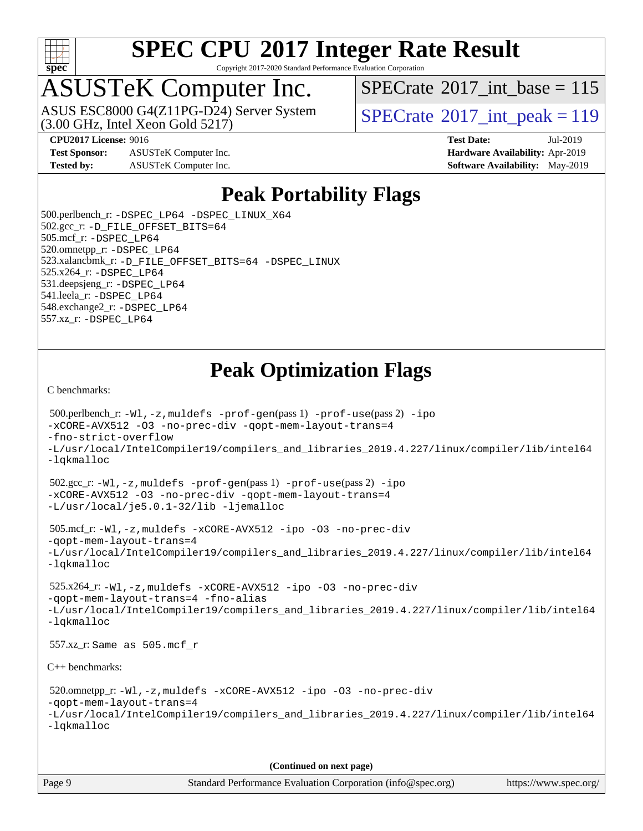

Copyright 2017-2020 Standard Performance Evaluation Corporation

## ASUSTeK Computer Inc.

(3.00 GHz, Intel Xeon Gold 5217) ASUS ESC8000 G4(Z11PG-D24) Server System  $S^{PI}$  [SPECrate](http://www.spec.org/auto/cpu2017/Docs/result-fields.html#SPECrate2017intpeak)®[2017\\_int\\_peak = 1](http://www.spec.org/auto/cpu2017/Docs/result-fields.html#SPECrate2017intpeak)19

 $SPECTate$ <sup>®</sup>[2017\\_int\\_base =](http://www.spec.org/auto/cpu2017/Docs/result-fields.html#SPECrate2017intbase) 115

**[Test Sponsor:](http://www.spec.org/auto/cpu2017/Docs/result-fields.html#TestSponsor)** ASUSTeK Computer Inc. **[Hardware Availability:](http://www.spec.org/auto/cpu2017/Docs/result-fields.html#HardwareAvailability)** Apr-2019 **[Tested by:](http://www.spec.org/auto/cpu2017/Docs/result-fields.html#Testedby)** ASUSTeK Computer Inc. **[Software Availability:](http://www.spec.org/auto/cpu2017/Docs/result-fields.html#SoftwareAvailability)** May-2019

**[CPU2017 License:](http://www.spec.org/auto/cpu2017/Docs/result-fields.html#CPU2017License)** 9016 **[Test Date:](http://www.spec.org/auto/cpu2017/Docs/result-fields.html#TestDate)** Jul-2019

### **[Peak Portability Flags](http://www.spec.org/auto/cpu2017/Docs/result-fields.html#PeakPortabilityFlags)**

 500.perlbench\_r: [-DSPEC\\_LP64](http://www.spec.org/cpu2017/results/res2019q3/cpu2017-20190722-16296.flags.html#b500.perlbench_r_peakPORTABILITY_DSPEC_LP64) [-DSPEC\\_LINUX\\_X64](http://www.spec.org/cpu2017/results/res2019q3/cpu2017-20190722-16296.flags.html#b500.perlbench_r_peakCPORTABILITY_DSPEC_LINUX_X64) 502.gcc\_r: [-D\\_FILE\\_OFFSET\\_BITS=64](http://www.spec.org/cpu2017/results/res2019q3/cpu2017-20190722-16296.flags.html#user_peakPORTABILITY502_gcc_r_file_offset_bits_64_5ae949a99b284ddf4e95728d47cb0843d81b2eb0e18bdfe74bbf0f61d0b064f4bda2f10ea5eb90e1dcab0e84dbc592acfc5018bc955c18609f94ddb8d550002c) 505.mcf\_r: [-DSPEC\\_LP64](http://www.spec.org/cpu2017/results/res2019q3/cpu2017-20190722-16296.flags.html#suite_peakPORTABILITY505_mcf_r_DSPEC_LP64) 520.omnetpp\_r: [-DSPEC\\_LP64](http://www.spec.org/cpu2017/results/res2019q3/cpu2017-20190722-16296.flags.html#suite_peakPORTABILITY520_omnetpp_r_DSPEC_LP64) 523.xalancbmk\_r: [-D\\_FILE\\_OFFSET\\_BITS=64](http://www.spec.org/cpu2017/results/res2019q3/cpu2017-20190722-16296.flags.html#user_peakPORTABILITY523_xalancbmk_r_file_offset_bits_64_5ae949a99b284ddf4e95728d47cb0843d81b2eb0e18bdfe74bbf0f61d0b064f4bda2f10ea5eb90e1dcab0e84dbc592acfc5018bc955c18609f94ddb8d550002c) [-DSPEC\\_LINUX](http://www.spec.org/cpu2017/results/res2019q3/cpu2017-20190722-16296.flags.html#b523.xalancbmk_r_peakCXXPORTABILITY_DSPEC_LINUX) 525.x264\_r: [-DSPEC\\_LP64](http://www.spec.org/cpu2017/results/res2019q3/cpu2017-20190722-16296.flags.html#suite_peakPORTABILITY525_x264_r_DSPEC_LP64) 531.deepsjeng\_r: [-DSPEC\\_LP64](http://www.spec.org/cpu2017/results/res2019q3/cpu2017-20190722-16296.flags.html#suite_peakPORTABILITY531_deepsjeng_r_DSPEC_LP64) 541.leela\_r: [-DSPEC\\_LP64](http://www.spec.org/cpu2017/results/res2019q3/cpu2017-20190722-16296.flags.html#suite_peakPORTABILITY541_leela_r_DSPEC_LP64) 548.exchange2\_r: [-DSPEC\\_LP64](http://www.spec.org/cpu2017/results/res2019q3/cpu2017-20190722-16296.flags.html#suite_peakPORTABILITY548_exchange2_r_DSPEC_LP64) 557.xz\_r: [-DSPEC\\_LP64](http://www.spec.org/cpu2017/results/res2019q3/cpu2017-20190722-16296.flags.html#suite_peakPORTABILITY557_xz_r_DSPEC_LP64)

### **[Peak Optimization Flags](http://www.spec.org/auto/cpu2017/Docs/result-fields.html#PeakOptimizationFlags)**

[C benchmarks](http://www.spec.org/auto/cpu2017/Docs/result-fields.html#Cbenchmarks):

```
 500.perlbench_r: -Wl,-z,muldefs -prof-gen(pass 1) -prof-use(pass 2) -ipo
-xCORE-AVX512 -O3 -no-prec-div -qopt-mem-layout-trans=4
-fno-strict-overflow
-L/usr/local/IntelCompiler19/compilers_and_libraries_2019.4.227/linux/compiler/lib/intel64
-lqkmalloc
 502.gcc_r: -Wl,-z,muldefs -prof-gen(pass 1) -prof-use(pass 2) -ipo
-xCORE-AVX512 -O3 -no-prec-div -qopt-mem-layout-trans=4
-L/usr/local/je5.0.1-32/lib -ljemalloc
 505.mcf_r: -Wl,-z,muldefs -xCORE-AVX512 -ipo -O3 -no-prec-div
-qopt-mem-layout-trans=4
-L/usr/local/IntelCompiler19/compilers_and_libraries_2019.4.227/linux/compiler/lib/intel64
-lqkmalloc
 525.x264_r: -Wl,-z,muldefs -xCORE-AVX512 -ipo -O3 -no-prec-div
-qopt-mem-layout-trans=4 -fno-alias
-L/usr/local/IntelCompiler19/compilers_and_libraries_2019.4.227/linux/compiler/lib/intel64
-lqkmalloc
 557.xz_r: Same as 505.mcf_r
C++ benchmarks: 
 520.omnetpp_r: -Wl,-z,muldefs -xCORE-AVX512 -ipo -O3 -no-prec-div
-qopt-mem-layout-trans=4
-L/usr/local/IntelCompiler19/compilers_and_libraries_2019.4.227/linux/compiler/lib/intel64
-lqkmalloc
                                      (Continued on next page)
```
Page 9 Standard Performance Evaluation Corporation [\(info@spec.org\)](mailto:info@spec.org) <https://www.spec.org/>